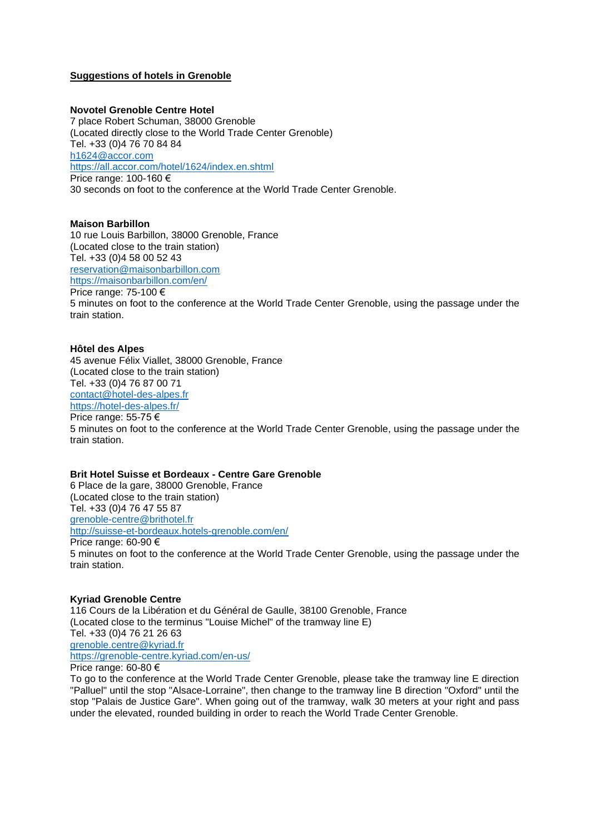# **Suggestions of hotels in Grenoble**

### **Novotel Grenoble Centre Hotel**

7 place Robert Schuman, 38000 Grenoble (Located directly close to the World Trade Center Grenoble) Tel. +33 (0)4 76 70 84 84 [h1624@accor.com](mailto:h1624@accor.com) <https://all.accor.com/hotel/1624/index.en.shtml> Price range: 100-160 € 30 seconds on foot to the conference at the World Trade Center Grenoble.

### **Maison Barbillon**

10 rue Louis Barbillon, 38000 Grenoble, France (Located close to the train station) Tel. +33 (0)4 58 00 52 43 [reservation@maisonbarbillon.com](mailto:reservation@maisonbarbillon.com) <https://maisonbarbillon.com/en/> Price range: 75-100 € 5 minutes on foot to the conference at the World Trade Center Grenoble, using the passage under the train station.

### **Hôtel des Alpes**

45 avenue Félix Viallet, 38000 Grenoble, France (Located close to the train station) Tel. +33 (0)4 76 87 00 71 [contact@hotel-des-alpes.fr](mailto:contact@hotel-des-alpes.fr) <https://hotel-des-alpes.fr/> Price range: 55-75 € 5 minutes on foot to the conference at the World Trade Center Grenoble, using the passage under the train station.

# **Brit Hotel Suisse et Bordeaux - Centre Gare Grenoble**

6 Place de la gare, 38000 Grenoble, France (Located close to the train station) Tel. +33 (0)4 76 47 55 87 [grenoble-centre@brithotel.fr](mailto:grenoble-centre@brithotel.fr) <http://suisse-et-bordeaux.hotels-grenoble.com/en/> Price range: 60-90 € 5 minutes on foot to the conference at the World Trade Center Grenoble, using the passage under the train station.

# **Kyriad Grenoble Centre**

116 Cours de la Libération et du Général de Gaulle, 38100 Grenoble, France (Located close to the terminus "Louise Michel" of the tramway line E) Tel. +33 (0)4 76 21 26 63 [grenoble.centre@kyriad.fr](mailto:grenoble.centre@kyriad.fr) <https://grenoble-centre.kyriad.com/en-us/>

Price range: 60-80 €

To go to the conference at the World Trade Center Grenoble, please take the tramway line E direction "Palluel" until the stop "Alsace-Lorraine", then change to the tramway line B direction "Oxford" until the stop "Palais de Justice Gare". When going out of the tramway, walk 30 meters at your right and pass under the elevated, rounded building in order to reach the World Trade Center Grenoble.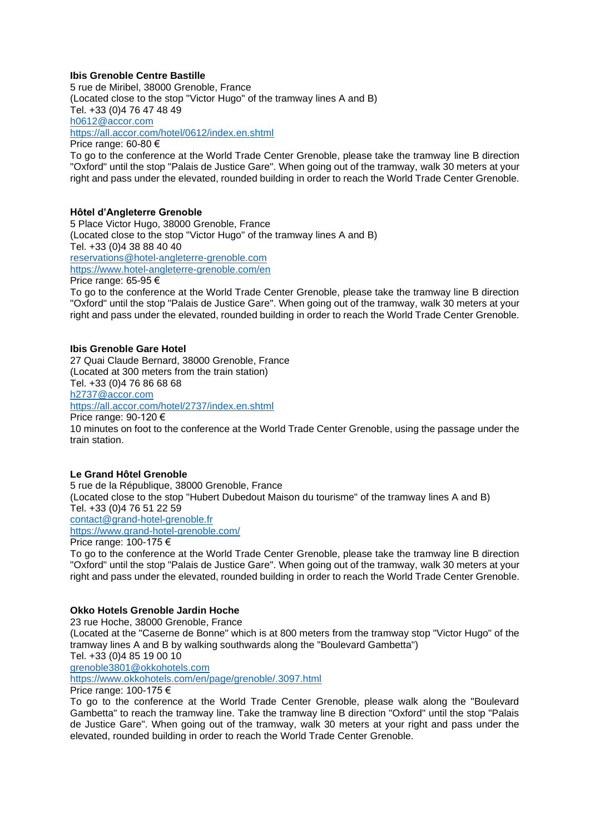# **Ibis Grenoble Centre Bastille**

5 rue de Miribel, 38000 Grenoble, France (Located close to the stop "Victor Hugo" of the tramway lines A and B) Tel. +33 (0)4 76 47 48 49 [h0612@accor.com](mailto:h0612@accor.com) <https://all.accor.com/hotel/0612/index.en.shtml> Price range: 60-80 €

To go to the conference at the World Trade Center Grenoble, please take the tramway line B direction "Oxford" until the stop "Palais de Justice Gare". When going out of the tramway, walk 30 meters at your right and pass under the elevated, rounded building in order to reach the World Trade Center Grenoble.

# **Hôtel d'Angleterre Grenoble**

5 Place Victor Hugo, 38000 Grenoble, France (Located close to the stop "Victor Hugo" of the tramway lines A and B) Tel. +33 (0)4 38 88 40 40 [reservations@hotel-angleterre-grenoble.com](mailto:reservations@hotel-angleterre-grenoble.com) <https://www.hotel-angleterre-grenoble.com/en> Price range: 65-95 € To go to the conference at the World Trade Center Grenoble, please take the tramway line B direction

"Oxford" until the stop "Palais de Justice Gare". When going out of the tramway, walk 30 meters at your right and pass under the elevated, rounded building in order to reach the World Trade Center Grenoble.

# **Ibis Grenoble Gare Hotel**

27 Quai Claude Bernard, 38000 Grenoble, France (Located at 300 meters from the train station) Tel. +33 (0)4 76 86 68 68 [h2737@accor.com](mailto:h2737@accor.com) <https://all.accor.com/hotel/2737/index.en.shtml> Price range: 90-120 € 10 minutes on foot to the conference at the World Trade Center Grenoble, using the passage under the train station.

# **Le Grand Hôtel Grenoble**

5 rue de la République, 38000 Grenoble, France (Located close to the stop "Hubert Dubedout Maison du tourisme" of the tramway lines A and B) Tel. +33 (0)4 76 51 22 59 [contact@grand-hotel-grenoble.fr](mailto:contact@grand-hotel-grenoble.fr) <https://www.grand-hotel-grenoble.com/> Price range: 100-175 €

To go to the conference at the World Trade Center Grenoble, please take the tramway line B direction "Oxford" until the stop "Palais de Justice Gare". When going out of the tramway, walk 30 meters at your right and pass under the elevated, rounded building in order to reach the World Trade Center Grenoble.

# **Okko Hotels Grenoble Jardin Hoche**

23 rue Hoche, 38000 Grenoble, France

(Located at the "Caserne de Bonne" which is at 800 meters from the tramway stop "Victor Hugo" of the tramway lines A and B by walking southwards along the "Boulevard Gambetta") Tel. +33 (0)4 85 19 00 10

[grenoble3801@okkohotels.com](mailto:grenoble3801@okkohotels.com)

<https://www.okkohotels.com/en/page/grenoble/.3097.html> Price range: 100-175 €

To go to the conference at the World Trade Center Grenoble, please walk along the "Boulevard Gambetta" to reach the tramway line. Take the tramway line B direction "Oxford" until the stop "Palais de Justice Gare". When going out of the tramway, walk 30 meters at your right and pass under the elevated, rounded building in order to reach the World Trade Center Grenoble.